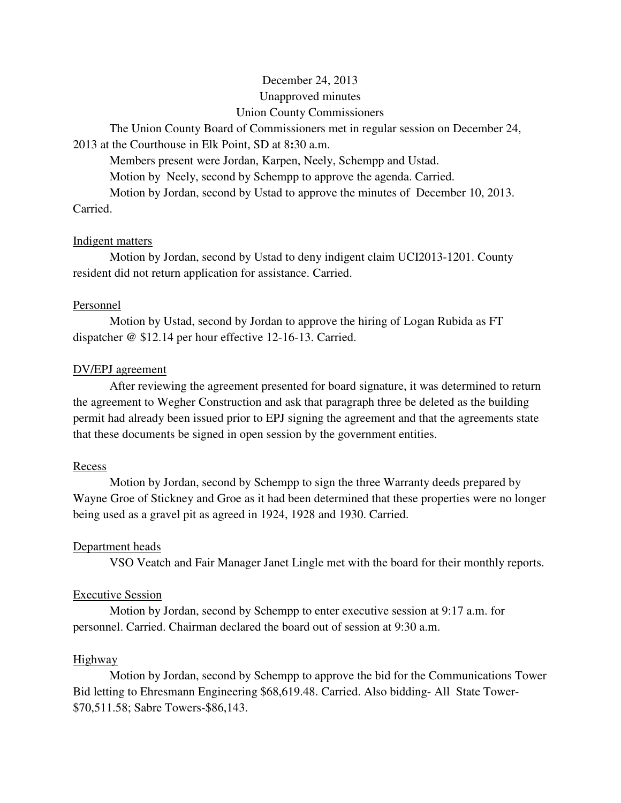# December 24, 2013 Unapproved minutes Union County Commissioners

The Union County Board of Commissioners met in regular session on December 24,

## 2013 at the Courthouse in Elk Point, SD at 8**:**30 a.m.

Members present were Jordan, Karpen, Neely, Schempp and Ustad.

Motion by Neely, second by Schempp to approve the agenda. Carried.

 Motion by Jordan, second by Ustad to approve the minutes of December 10, 2013. Carried.

## Indigent matters

 Motion by Jordan, second by Ustad to deny indigent claim UCI2013-1201. County resident did not return application for assistance. Carried.

## Personnel

 Motion by Ustad, second by Jordan to approve the hiring of Logan Rubida as FT dispatcher @ \$12.14 per hour effective 12-16-13. Carried.

# DV/EPJ agreement

 After reviewing the agreement presented for board signature, it was determined to return the agreement to Wegher Construction and ask that paragraph three be deleted as the building permit had already been issued prior to EPJ signing the agreement and that the agreements state that these documents be signed in open session by the government entities.

# Recess

 Motion by Jordan, second by Schempp to sign the three Warranty deeds prepared by Wayne Groe of Stickney and Groe as it had been determined that these properties were no longer being used as a gravel pit as agreed in 1924, 1928 and 1930. Carried.

# Department heads

VSO Veatch and Fair Manager Janet Lingle met with the board for their monthly reports.

# Executive Session

 Motion by Jordan, second by Schempp to enter executive session at 9:17 a.m. for personnel. Carried. Chairman declared the board out of session at 9:30 a.m.

### Highway

 Motion by Jordan, second by Schempp to approve the bid for the Communications Tower Bid letting to Ehresmann Engineering \$68,619.48. Carried. Also bidding- All State Tower- \$70,511.58; Sabre Towers-\$86,143.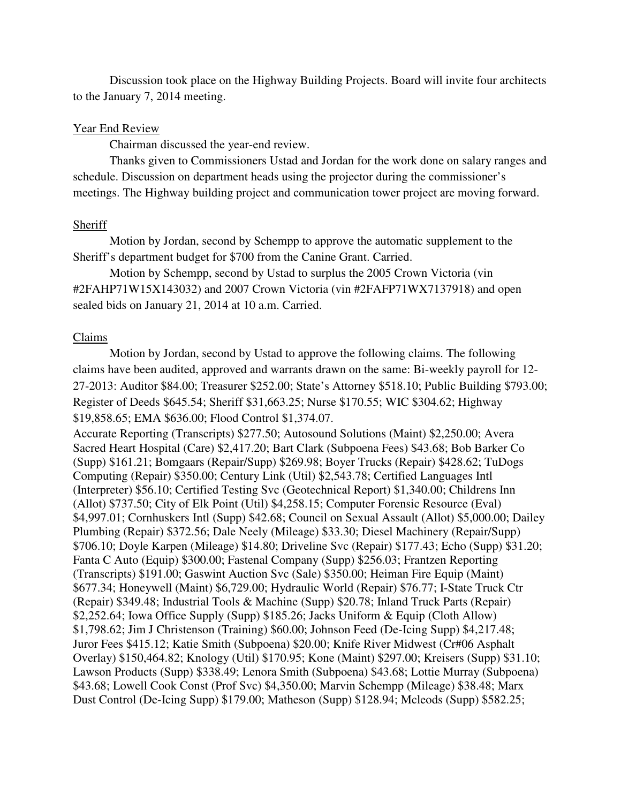Discussion took place on the Highway Building Projects. Board will invite four architects to the January 7, 2014 meeting.

### Year End Review

Chairman discussed the year-end review.

Thanks given to Commissioners Ustad and Jordan for the work done on salary ranges and schedule. Discussion on department heads using the projector during the commissioner's meetings. The Highway building project and communication tower project are moving forward.

### Sheriff

 Motion by Jordan, second by Schempp to approve the automatic supplement to the Sheriff's department budget for \$700 from the Canine Grant. Carried.

 Motion by Schempp, second by Ustad to surplus the 2005 Crown Victoria (vin #2FAHP71W15X143032) and 2007 Crown Victoria (vin #2FAFP71WX7137918) and open sealed bids on January 21, 2014 at 10 a.m. Carried.

### Claims

 Motion by Jordan, second by Ustad to approve the following claims. The following claims have been audited, approved and warrants drawn on the same: Bi-weekly payroll for 12- 27-2013: Auditor \$84.00; Treasurer \$252.00; State's Attorney \$518.10; Public Building \$793.00; Register of Deeds \$645.54; Sheriff \$31,663.25; Nurse \$170.55; WIC \$304.62; Highway \$19,858.65; EMA \$636.00; Flood Control \$1,374.07.

Accurate Reporting (Transcripts) \$277.50; Autosound Solutions (Maint) \$2,250.00; Avera Sacred Heart Hospital (Care) \$2,417.20; Bart Clark (Subpoena Fees) \$43.68; Bob Barker Co (Supp) \$161.21; Bomgaars (Repair/Supp) \$269.98; Boyer Trucks (Repair) \$428.62; TuDogs Computing (Repair) \$350.00; Century Link (Util) \$2,543.78; Certified Languages Intl (Interpreter) \$56.10; Certified Testing Svc (Geotechnical Report) \$1,340.00; Childrens Inn (Allot) \$737.50; City of Elk Point (Util) \$4,258.15; Computer Forensic Resource (Eval) \$4,997.01; Cornhuskers Intl (Supp) \$42.68; Council on Sexual Assault (Allot) \$5,000.00; Dailey Plumbing (Repair) \$372.56; Dale Neely (Mileage) \$33.30; Diesel Machinery (Repair/Supp) \$706.10; Doyle Karpen (Mileage) \$14.80; Driveline Svc (Repair) \$177.43; Echo (Supp) \$31.20; Fanta C Auto (Equip) \$300.00; Fastenal Company (Supp) \$256.03; Frantzen Reporting (Transcripts) \$191.00; Gaswint Auction Svc (Sale) \$350.00; Heiman Fire Equip (Maint) \$677.34; Honeywell (Maint) \$6,729.00; Hydraulic World (Repair) \$76.77; I-State Truck Ctr (Repair) \$349.48; Industrial Tools & Machine (Supp) \$20.78; Inland Truck Parts (Repair) \$2,252.64; Iowa Office Supply (Supp) \$185.26; Jacks Uniform & Equip (Cloth Allow) \$1,798.62; Jim J Christenson (Training) \$60.00; Johnson Feed (De-Icing Supp) \$4,217.48; Juror Fees \$415.12; Katie Smith (Subpoena) \$20.00; Knife River Midwest (Cr#06 Asphalt Overlay) \$150,464.82; Knology (Util) \$170.95; Kone (Maint) \$297.00; Kreisers (Supp) \$31.10; Lawson Products (Supp) \$338.49; Lenora Smith (Subpoena) \$43.68; Lottie Murray (Subpoena) \$43.68; Lowell Cook Const (Prof Svc) \$4,350.00; Marvin Schempp (Mileage) \$38.48; Marx Dust Control (De-Icing Supp) \$179.00; Matheson (Supp) \$128.94; Mcleods (Supp) \$582.25;